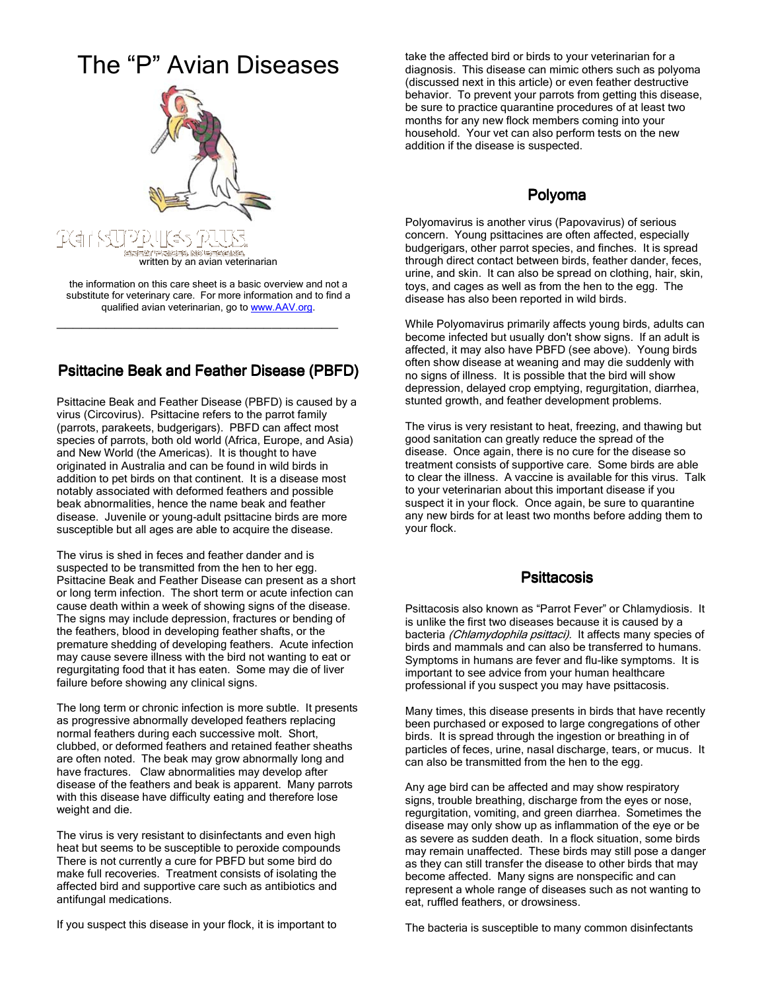## The "P" Avian Diseases



the information on this care sheet is a basic overview and not a substitute for veterinary care. For more information and to find a qualified avian veterinarian, go to www.AAV.org.

\_\_\_\_\_\_\_\_\_\_\_\_\_\_\_\_\_\_\_\_\_\_\_\_\_\_\_\_\_\_\_\_\_\_

## Psittacine Beak and Feather Disease (PBFD)

Psittacine Beak and Feather Disease (PBFD) is caused by a virus (Circovirus). Psittacine refers to the parrot family (parrots, parakeets, budgerigars). PBFD can affect most species of parrots, both old world (Africa, Europe, and Asia) and New World (the Americas). It is thought to have originated in Australia and can be found in wild birds in addition to pet birds on that continent. It is a disease most notably associated with deformed feathers and possible beak abnormalities, hence the name beak and feather disease. Juvenile or young-adult psittacine birds are more susceptible but all ages are able to acquire the disease.

The virus is shed in feces and feather dander and is suspected to be transmitted from the hen to her egg. Psittacine Beak and Feather Disease can present as a short or long term infection. The short term or acute infection can cause death within a week of showing signs of the disease. The signs may include depression, fractures or bending of the feathers, blood in developing feather shafts, or the premature shedding of developing feathers. Acute infection may cause severe illness with the bird not wanting to eat or regurgitating food that it has eaten. Some may die of liver failure before showing any clinical signs.

The long term or chronic infection is more subtle. It presents as progressive abnormally developed feathers replacing normal feathers during each successive molt. Short, clubbed, or deformed feathers and retained feather sheaths are often noted. The beak may grow abnormally long and have fractures. Claw abnormalities may develop after disease of the feathers and beak is apparent. Many parrots with this disease have difficulty eating and therefore lose weight and die.

The virus is very resistant to disinfectants and even high heat but seems to be susceptible to peroxide compounds There is not currently a cure for PBFD but some bird do make full recoveries. Treatment consists of isolating the affected bird and supportive care such as antibiotics and antifungal medications.

If you suspect this disease in your flock, it is important to

take the affected bird or birds to your veterinarian for a diagnosis. This disease can mimic others such as polyoma (discussed next in this article) or even feather destructive behavior. To prevent your parrots from getting this disease, be sure to practice quarantine procedures of at least two months for any new flock members coming into your household. Your vet can also perform tests on the new addition if the disease is suspected.

## Polyoma

Polyomavirus is another virus (Papovavirus) of serious concern. Young psittacines are often affected, especially budgerigars, other parrot species, and finches. It is spread through direct contact between birds, feather dander, feces, urine, and skin. It can also be spread on clothing, hair, skin, toys, and cages as well as from the hen to the egg. The disease has also been reported in wild birds.

While Polyomavirus primarily affects young birds, adults can become infected but usually don't show signs. If an adult is affected, it may also have PBFD (see above). Young birds often show disease at weaning and may die suddenly with no signs of illness. It is possible that the bird will show depression, delayed crop emptying, regurgitation, diarrhea, stunted growth, and feather development problems.

The virus is very resistant to heat, freezing, and thawing but good sanitation can greatly reduce the spread of the disease. Once again, there is no cure for the disease so treatment consists of supportive care. Some birds are able to clear the illness. A vaccine is available for this virus. Talk to your veterinarian about this important disease if you suspect it in your flock. Once again, be sure to quarantine any new birds for at least two months before adding them to your flock.

## **Psittacosis**

Psittacosis also known as "Parrot Fever" or Chlamydiosis. It is unlike the first two diseases because it is caused by a bacteria (Chlamydophila psittaci). It affects many species of birds and mammals and can also be transferred to humans. Symptoms in humans are fever and flu-like symptoms. It is important to see advice from your human healthcare professional if you suspect you may have psittacosis.

Many times, this disease presents in birds that have recently been purchased or exposed to large congregations of other birds. It is spread through the ingestion or breathing in of particles of feces, urine, nasal discharge, tears, or mucus. It can also be transmitted from the hen to the egg.

Any age bird can be affected and may show respiratory signs, trouble breathing, discharge from the eyes or nose, regurgitation, vomiting, and green diarrhea. Sometimes the disease may only show up as inflammation of the eye or be as severe as sudden death. In a flock situation, some birds may remain unaffected. These birds may still pose a danger as they can still transfer the disease to other birds that may become affected. Many signs are nonspecific and can represent a whole range of diseases such as not wanting to eat, ruffled feathers, or drowsiness.

The bacteria is susceptible to many common disinfectants